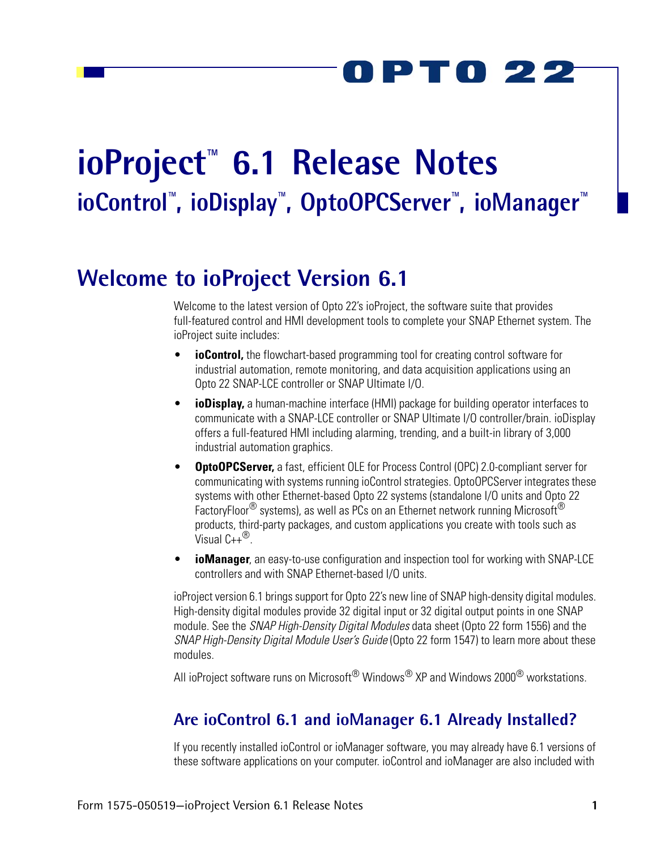PT0 22

# **ioProject™ 6.1 Release Notes ioControl™, ioDisplay™, OptoOPCServer™, ioManager™**

# **Welcome to ioProject Version 6.1**

Welcome to the latest version of Opto 22's ioProject, the software suite that provides full-featured control and HMI development tools to complete your SNAP Ethernet system. The ioProject suite includes:

- **ioControl**, the flowchart-based programming tool for creating control software for industrial automation, remote monitoring, and data acquisition applications using an Opto 22 SNAP-LCE controller or SNAP Ultimate I/O.
- **ioDisplay,** a human-machine interface (HMI) package for building operator interfaces to communicate with a SNAP-LCE controller or SNAP Ultimate I/O controller/brain. ioDisplay offers a full-featured HMI including alarming, trending, and a built-in library of 3,000 industrial automation graphics.
- **OptoOPCServer,** a fast, efficient OLE for Process Control (OPC) 2.0-compliant server for communicating with systems running ioControl strategies. OptoOPCServer integrates these systems with other Ethernet-based Opto 22 systems (standalone I/O units and Opto 22 FactoryFloor<sup>®</sup> systems), as well as PCs on an Ethernet network running Microsoft<sup>®</sup> products, third-party packages, and custom applications you create with tools such as Visual  $C++^{(8)}$ .
- *ioManager*, an easy-to-use configuration and inspection tool for working with SNAP-LCE controllers and with SNAP Ethernet-based I/O units.

ioProject version 6.1 brings support for Opto 22's new line of SNAP high-density digital modules. High-density digital modules provide 32 digital input or 32 digital output points in one SNAP module. See the *SNAP High-Density Digital Modules* data sheet (Opto 22 form 1556) and the *SNAP High-Density Digital Module User's Guide* (Opto 22 form 1547) to learn more about these modules.

All ioProject software runs on Microsoft<sup>®</sup> Windows<sup>®</sup> XP and Windows 2000<sup>®</sup> workstations.

### **Are ioControl 6.1 and ioManager 6.1 Already Installed?**

If you recently installed ioControl or ioManager software, you may already have 6.1 versions of these software applications on your computer. ioControl and ioManager are also included with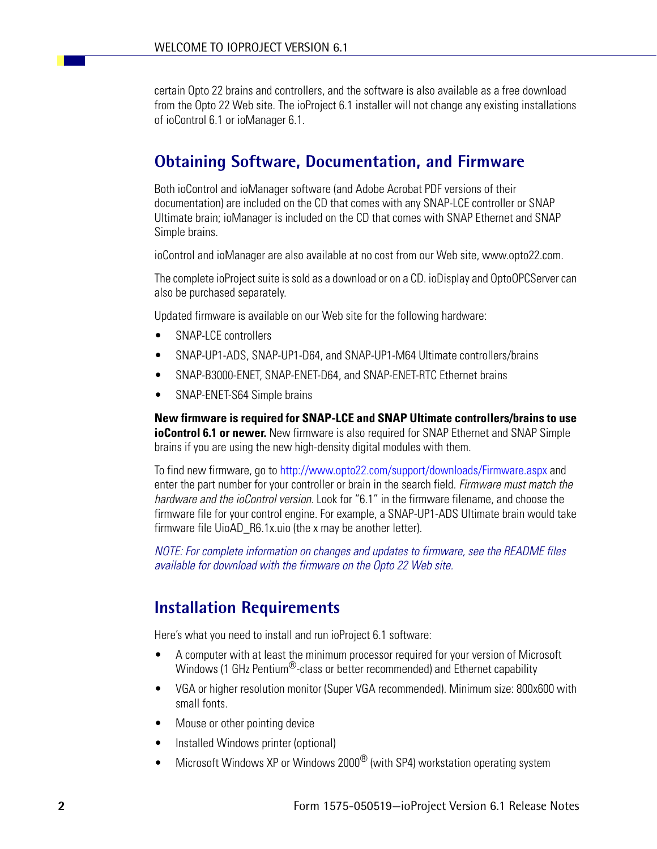certain Opto 22 brains and controllers, and the software is also available as a free download from the Opto 22 Web site. The ioProject 6.1 installer will not change any existing installations of ioControl 6.1 or ioManager 6.1.

### **Obtaining Software, Documentation, and Firmware**

Both ioControl and ioManager software (and Adobe Acrobat PDF versions of their documentation) are included on the CD that comes with any SNAP-LCE controller or SNAP Ultimate brain; ioManager is included on the CD that comes with SNAP Ethernet and SNAP Simple brains.

ioControl and ioManager are also available at no cost from our Web site, www.opto22.com.

The complete ioProject suite is sold as a download or on a CD. ioDisplay and OptoOPCServer can also be purchased separately.

Updated firmware is available on our Web site for the following hardware:

- SNAP-LCE controllers
- SNAP-UP1-ADS, SNAP-UP1-D64, and SNAP-UP1-M64 Ultimate controllers/brains
- SNAP-B3000-ENET, SNAP-ENET-D64, and SNAP-ENET-RTC Ethernet brains
- SNAP-ENET-S64 Simple brains

**New firmware is required for SNAP-LCE and SNAP Ultimate controllers/brains to use ioControl 6.1 or newer.** New firmware is also required for SNAP Ethernet and SNAP Simple brains if you are using the new high-density digital modules with them.

To find new firmware, go to http://www.opto22.com/support/downloads/Firmware.aspx and enter the part number for your controller or brain in the search field. *Firmware must match the hardware and the ioControl version.* Look for "6.1" in the firmware filename, and choose the firmware file for your control engine. For example, a SNAP-UP1-ADS Ultimate brain would take firmware file UioAD R6.1x.uio (the x may be another letter).

*NOTE: For complete information on changes and updates to firmware, see the README files available for download with the firmware on the Opto 22 Web site.*

### **Installation Requirements**

Here's what you need to install and run ioProject 6.1 software:

- A computer with at least the minimum processor required for your version of Microsoft Windows (1 GHz Pentium<sup>®</sup>-class or better recommended) and Ethernet capability
- VGA or higher resolution monitor (Super VGA recommended). Minimum size: 800x600 with small fonts.
- Mouse or other pointing device
- Installed Windows printer (optional)
- Microsoft Windows XP or Windows 2000 $^{\circledR}$  (with SP4) workstation operating system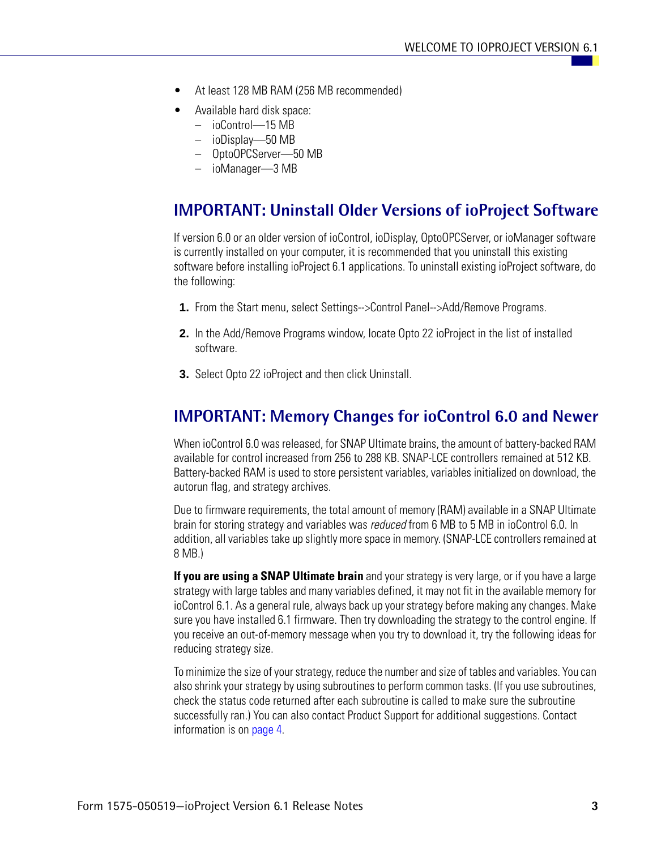- At least 128 MB RAM (256 MB recommended)
- Available hard disk space:
	- ioControl—15 MB
	- ioDisplay—50 MB
	- OptoOPCServer—50 MB
	- ioManager—3 MB

### **IMPORTANT: Uninstall Older Versions of ioProject Software**

If version 6.0 or an older version of ioControl, ioDisplay, OptoOPCServer, or ioManager software is currently installed on your computer, it is recommended that you uninstall this existing software before installing ioProject 6.1 applications. To uninstall existing ioProject software, do the following:

- **1.** From the Start menu, select Settings-->Control Panel-->Add/Remove Programs.
- **2.** In the Add/Remove Programs window, locate Opto 22 ioProject in the list of installed software.
- **3.** Select Opto 22 ioProject and then click Uninstall.

### **IMPORTANT: Memory Changes for ioControl 6.0 and Newer**

When ioControl 6.0 was released, for SNAP Ultimate brains, the amount of battery-backed RAM available for control increased from 256 to 288 KB. SNAP-LCE controllers remained at 512 KB. Battery-backed RAM is used to store persistent variables, variables initialized on download, the autorun flag, and strategy archives.

Due to firmware requirements, the total amount of memory (RAM) available in a SNAP Ultimate brain for storing strategy and variables was *reduced* from 6 MB to 5 MB in ioControl 6.0. In addition, all variables take up slightly more space in memory. (SNAP-LCE controllers remained at 8 MB.)

**If you are using a SNAP Ultimate brain** and your strategy is very large, or if you have a large strategy with large tables and many variables defined, it may not fit in the available memory for ioControl 6.1. As a general rule, always back up your strategy before making any changes. Make sure you have installed 6.1 firmware. Then try downloading the strategy to the control engine. If you receive an out-of-memory message when you try to download it, try the following ideas for reducing strategy size.

To minimize the size of your strategy, reduce the number and size of tables and variables. You can also shrink your strategy by using subroutines to perform common tasks. (If you use subroutines, check the status code returned after each subroutine is called to make sure the subroutine successfully ran.) You can also contact Product Support for additional suggestions. Contact information is on page 4.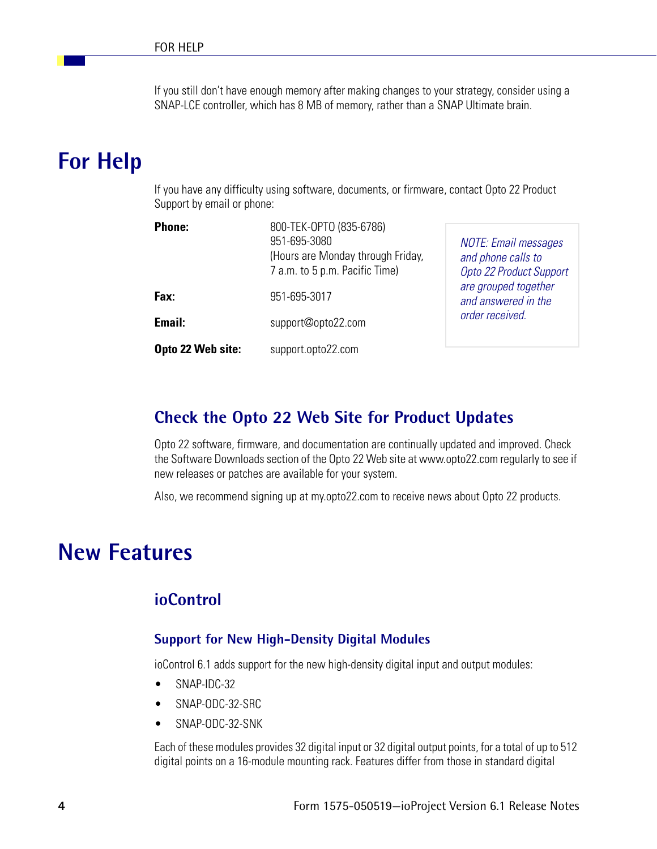If you still don't have enough memory after making changes to your strategy, consider using a SNAP-LCE controller, which has 8 MB of memory, rather than a SNAP Ultimate brain.

# **For Help**

If you have any difficulty using software, documents, or firmware, contact Opto 22 Product Support by email or phone:

| <b>Phone:</b>     | 800-TEK-OPTO (835-6786)<br>951-695-3080<br>(Hours are Monday through Friday,<br>7 a.m. to 5 p.m. Pacific Time) | <b>NOTE: Email messages</b><br>and phone calls to<br>Opto 22 Product Support<br>are grouped together<br>and answered in the |
|-------------------|----------------------------------------------------------------------------------------------------------------|-----------------------------------------------------------------------------------------------------------------------------|
| Fax:              | 951-695-3017                                                                                                   |                                                                                                                             |
| Email:            | support@opto22.com                                                                                             | order received.                                                                                                             |
| Opto 22 Web site: | support.opto22.com                                                                                             |                                                                                                                             |

### **Check the Opto 22 Web Site for Product Updates**

Opto 22 software, firmware, and documentation are continually updated and improved. Check the Software Downloads section of the Opto 22 Web site at www.opto22.com regularly to see if new releases or patches are available for your system.

Also, we recommend signing up at my.opto22.com to receive news about Opto 22 products.

# **New Features**

### **ioControl**

#### **Support for New High-Density Digital Modules**

ioControl 6.1 adds support for the new high-density digital input and output modules:

- SNAP-IDC-32
- SNAP-ODC-32-SRC
- SNAP-ODC-32-SNK

Each of these modules provides 32 digital input or 32 digital output points, for a total of up to 512 digital points on a 16-module mounting rack. Features differ from those in standard digital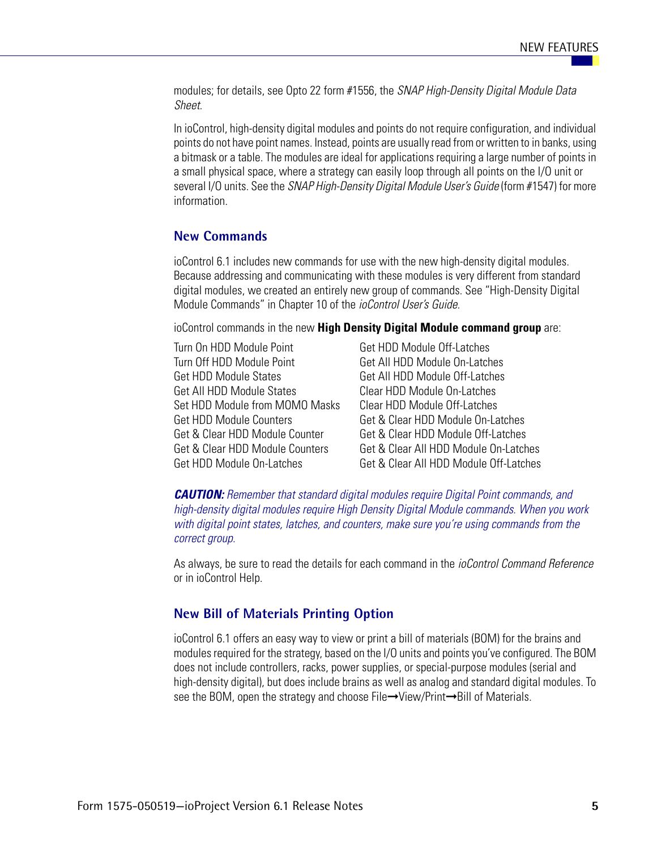modules; for details, see Opto 22 form #1556, the *SNAP High-Density Digital Module Data Sheet*.

In ioControl, high-density digital modules and points do not require configuration, and individual points do not have point names. Instead, points are usually read from or written to in banks, using a bitmask or a table. The modules are ideal for applications requiring a large number of points in a small physical space, where a strategy can easily loop through all points on the I/O unit or several I/O units. See the *SNAP High-Density Digital Module User's Guide* (form #1547) for more information.

#### **New Commands**

ioControl 6.1 includes new commands for use with the new high-density digital modules. Because addressing and communicating with these modules is very different from standard digital modules, we created an entirely new group of commands. See "High-Density Digital Module Commands" in Chapter 10 of the *ioControl User's Guide.*

ioControl commands in the new **High Density Digital Module command group** are:

| Turn On HDD Module Point        | Get HDD Module Off-Latches             |
|---------------------------------|----------------------------------------|
| Turn Off HDD Module Point       | Get All HDD Module On-Latches          |
| Get HDD Module States           | Get All HDD Module Off-Latches         |
| Get All HDD Module States       | <b>Clear HDD Module On-Latches</b>     |
| Set HDD Module from MOMO Masks  | Clear HDD Module Off-Latches           |
| Get HDD Module Counters         | Get & Clear HDD Module On-Latches      |
| Get & Clear HDD Module Counter  | Get & Clear HDD Module Off-Latches     |
| Get & Clear HDD Module Counters | Get & Clear All HDD Module On-Latches  |
| Get HDD Module On-Latches       | Get & Clear All HDD Module Off-Latches |

*CAUTION: Remember that standard digital modules require Digital Point commands, and high-density digital modules require High Density Digital Module commands. When you work with digital point states, latches, and counters, make sure you're using commands from the correct group.* 

As always, be sure to read the details for each command in the *ioControl Command Reference* or in ioControl Help.

#### **New Bill of Materials Printing Option**

ioControl 6.1 offers an easy way to view or print a bill of materials (BOM) for the brains and modules required for the strategy, based on the I/O units and points you've configured. The BOM does not include controllers, racks, power supplies, or special-purpose modules (serial and high-density digital), but does include brains as well as analog and standard digital modules. To see the BOM, open the strategy and choose File→View/Print→Bill of Materials.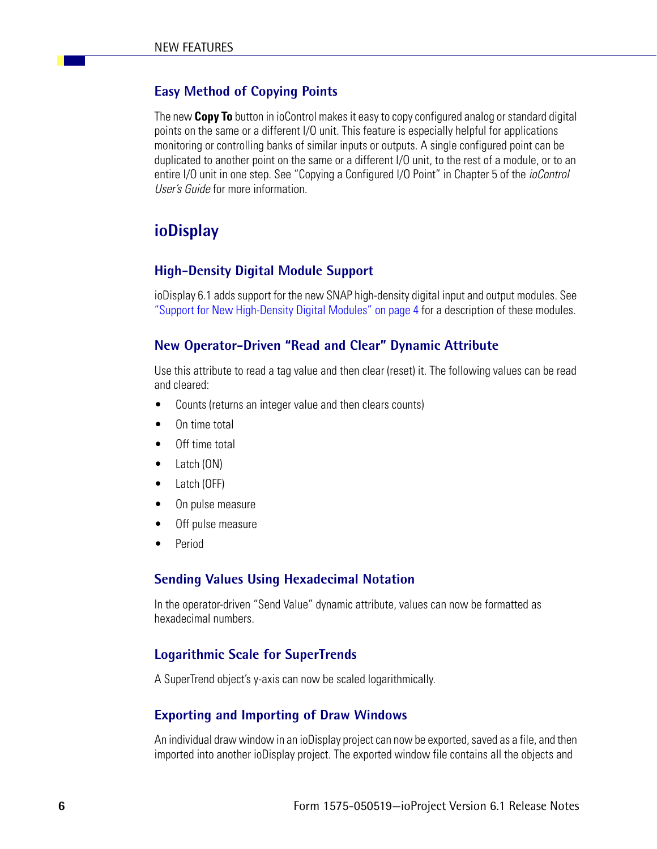#### **Easy Method of Copying Points**

The new **Copy To** button in ioControl makes it easy to copy configured analog or standard digital points on the same or a different I/O unit. This feature is especially helpful for applications monitoring or controlling banks of similar inputs or outputs. A single configured point can be duplicated to another point on the same or a different I/O unit, to the rest of a module, or to an entire I/O unit in one step. See "Copying a Configured I/O Point" in Chapter 5 of the *ioControl User's Guide* for more information.

### **ioDisplay**

#### **High-Density Digital Module Support**

ioDisplay 6.1 adds support for the new SNAP high-density digital input and output modules. See "Support for New High-Density Digital Modules" on page 4 for a description of these modules.

#### **New Operator-Driven "Read and Clear" Dynamic Attribute**

Use this attribute to read a tag value and then clear (reset) it. The following values can be read and cleared:

- Counts (returns an integer value and then clears counts)
- On time total
- Off time total
- Latch (ON)
- Latch (OFF)
- On pulse measure
- Off pulse measure
- Period

#### **Sending Values Using Hexadecimal Notation**

In the operator-driven "Send Value" dynamic attribute, values can now be formatted as hexadecimal numbers.

#### **Logarithmic Scale for SuperTrends**

A SuperTrend object's y-axis can now be scaled logarithmically.

#### **Exporting and Importing of Draw Windows**

An individual draw window in an ioDisplay project can now be exported, saved as a file, and then imported into another ioDisplay project. The exported window file contains all the objects and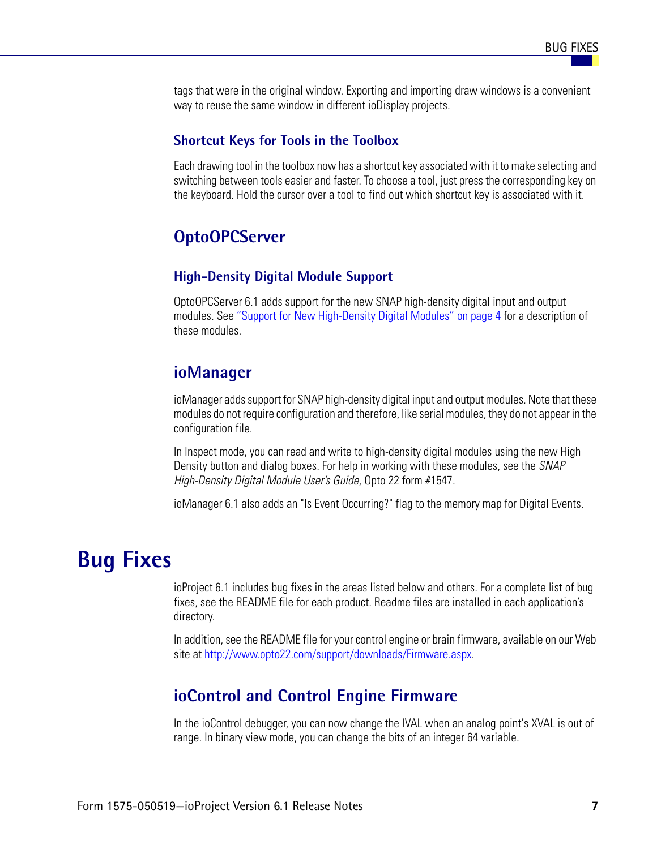tags that were in the original window. Exporting and importing draw windows is a convenient way to reuse the same window in different ioDisplay projects.

#### **Shortcut Keys for Tools in the Toolbox**

Each drawing tool in the toolbox now has a shortcut key associated with it to make selecting and switching between tools easier and faster. To choose a tool, just press the corresponding key on the keyboard. Hold the cursor over a tool to find out which shortcut key is associated with it.

#### **OptoOPCServer**

#### **High-Density Digital Module Support**

OptoOPCServer 6.1 adds support for the new SNAP high-density digital input and output modules. See "Support for New High-Density Digital Modules" on page 4 for a description of these modules.

### **ioManager**

ioManager adds support for SNAP high-density digital input and output modules. Note that these modules do not require configuration and therefore, like serial modules, they do not appear in the configuration file.

In Inspect mode, you can read and write to high-density digital modules using the new High Density button and dialog boxes. For help in working with these modules, see the *SNAP High-Density Digital Module User's Guide*, Opto 22 form #1547.

ioManager 6.1 also adds an "Is Event Occurring?" flag to the memory map for Digital Events.

## **Bug Fixes**

ioProject 6.1 includes bug fixes in the areas listed below and others. For a complete list of bug fixes, see the README file for each product. Readme files are installed in each application's directory.

In addition, see the README file for your control engine or brain firmware, available on our Web site at http://www.opto22.com/support/downloads/Firmware.aspx.

#### **ioControl and Control Engine Firmware**

In the ioControl debugger, you can now change the IVAL when an analog point's XVAL is out of range. In binary view mode, you can change the bits of an integer 64 variable.